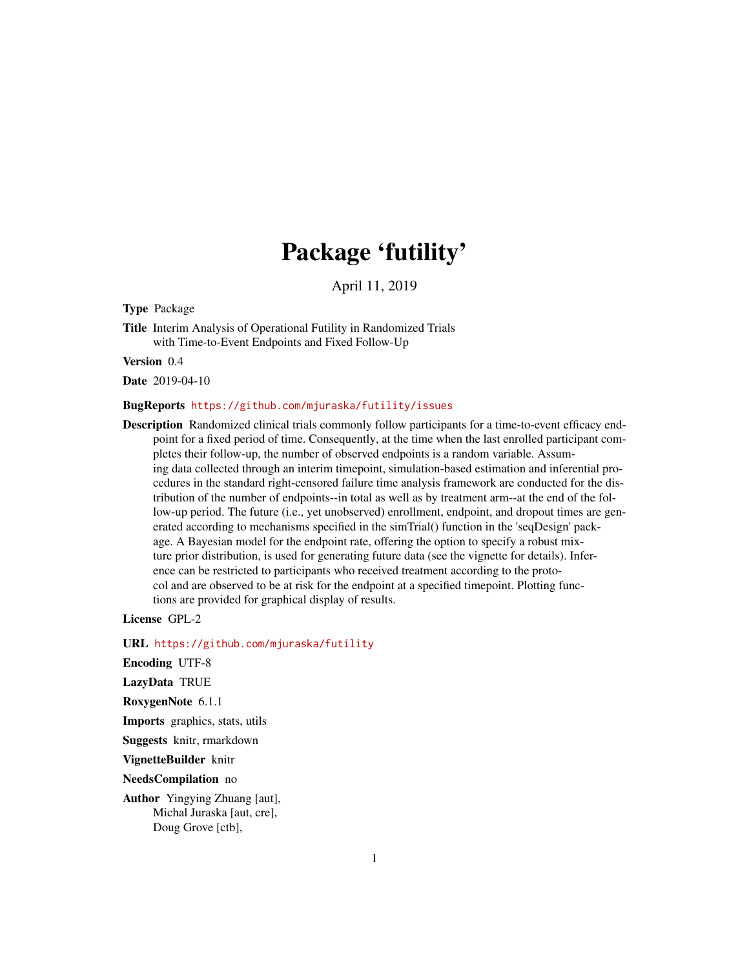## Package 'futility'

April 11, 2019

Type Package

Title Interim Analysis of Operational Futility in Randomized Trials with Time-to-Event Endpoints and Fixed Follow-Up

Version 0.4

Date 2019-04-10

#### BugReports <https://github.com/mjuraska/futility/issues>

Description Randomized clinical trials commonly follow participants for a time-to-event efficacy endpoint for a fixed period of time. Consequently, at the time when the last enrolled participant completes their follow-up, the number of observed endpoints is a random variable. Assuming data collected through an interim timepoint, simulation-based estimation and inferential procedures in the standard right-censored failure time analysis framework are conducted for the distribution of the number of endpoints--in total as well as by treatment arm--at the end of the follow-up period. The future (i.e., yet unobserved) enrollment, endpoint, and dropout times are generated according to mechanisms specified in the simTrial() function in the 'seqDesign' package. A Bayesian model for the endpoint rate, offering the option to specify a robust mixture prior distribution, is used for generating future data (see the vignette for details). Inference can be restricted to participants who received treatment according to the protocol and are observed to be at risk for the endpoint at a specified timepoint. Plotting functions are provided for graphical display of results.

License GPL-2

URL <https://github.com/mjuraska/futility>

Encoding UTF-8

LazyData TRUE

RoxygenNote 6.1.1

Imports graphics, stats, utils

Suggests knitr, rmarkdown

VignetteBuilder knitr

NeedsCompilation no

Author Yingying Zhuang [aut], Michal Juraska [aut, cre], Doug Grove [ctb],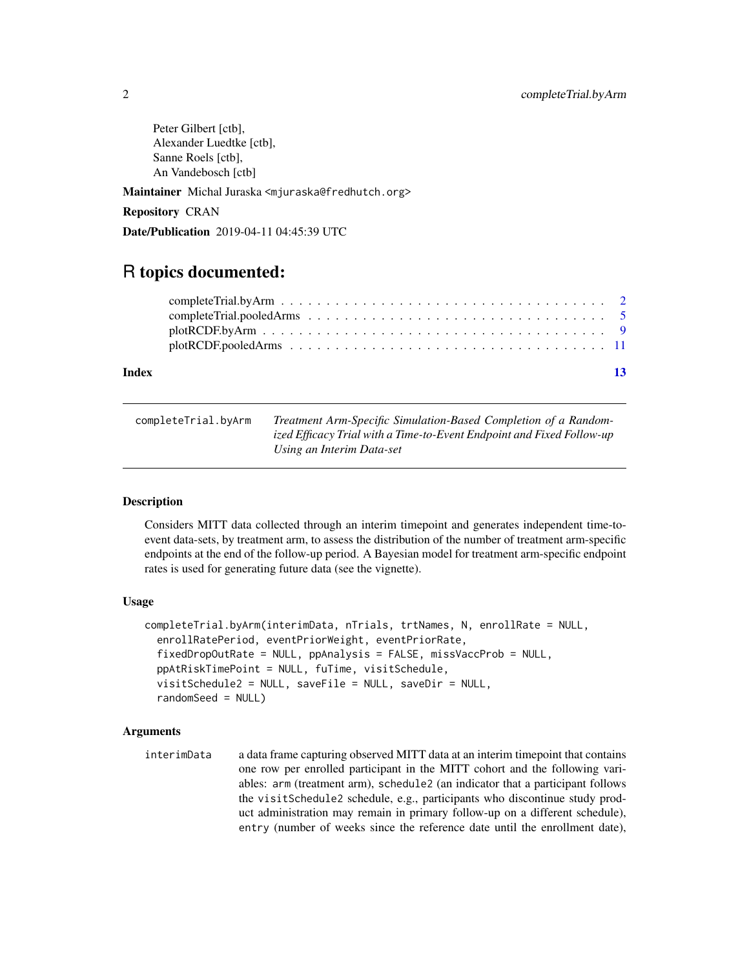<span id="page-1-0"></span>Peter Gilbert [ctb], Alexander Luedtke [ctb], Sanne Roels [ctb], An Vandebosch [ctb]

Maintainer Michal Juraska <mjuraska@fredhutch.org>

Repository CRAN

Date/Publication 2019-04-11 04:45:39 UTC

### R topics documented:

| Index | $-13$ |
|-------|-------|
|       |       |
|       |       |
|       |       |
|       |       |
|       |       |

<span id="page-1-1"></span>

| completeTrial.byArm | Treatment Arm-Specific Simulation-Based Completion of a Random-       |
|---------------------|-----------------------------------------------------------------------|
|                     | ized Efficacy Trial with a Time-to-Event Endpoint and Fixed Follow-up |
|                     | Using an Interim Data-set                                             |

#### Description

Considers MITT data collected through an interim timepoint and generates independent time-toevent data-sets, by treatment arm, to assess the distribution of the number of treatment arm-specific endpoints at the end of the follow-up period. A Bayesian model for treatment arm-specific endpoint rates is used for generating future data (see the vignette).

#### Usage

```
completeTrial.byArm(interimData, nTrials, trtNames, N, enrollRate = NULL,
  enrollRatePeriod, eventPriorWeight, eventPriorRate,
  fixedDropOutRate = NULL, ppAnalysis = FALSE, missVaccProb = NULL,
  ppAtRiskTimePoint = NULL, fuTime, visitSchedule,
  visitSchedule2 = NULL, saveFile = NULL, saveDir = NULL,
  randomSeed = NULL)
```
#### Arguments

interimData a data frame capturing observed MITT data at an interim timepoint that contains one row per enrolled participant in the MITT cohort and the following variables: arm (treatment arm), schedule2 (an indicator that a participant follows the visitSchedule2 schedule, e.g., participants who discontinue study product administration may remain in primary follow-up on a different schedule), entry (number of weeks since the reference date until the enrollment date),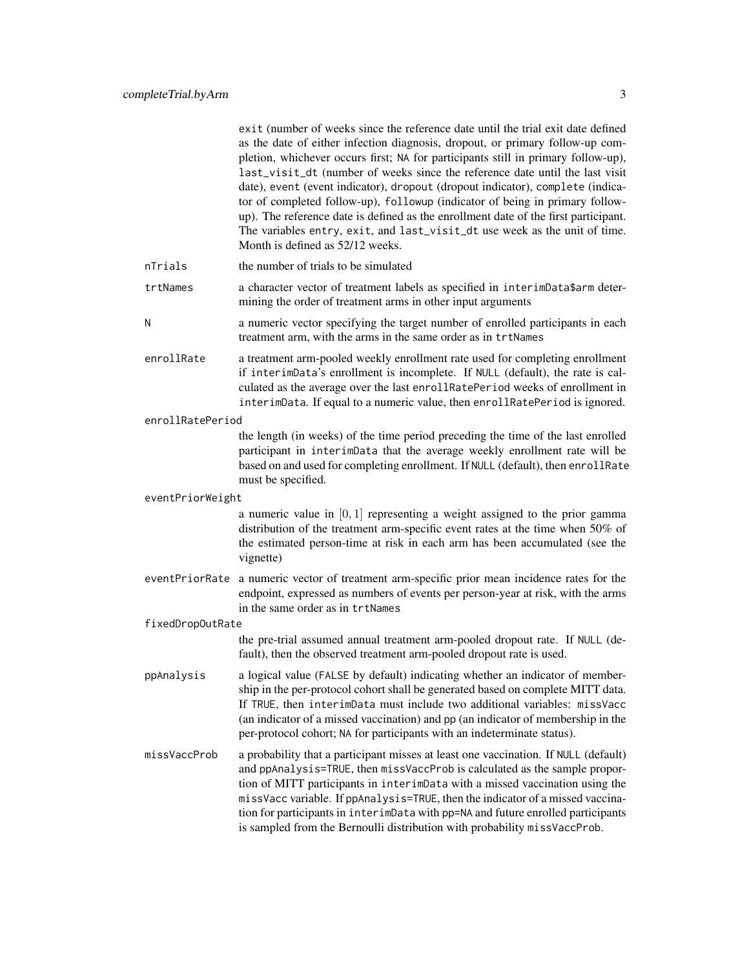|                  | exit (number of weeks since the reference date until the trial exit date defined<br>as the date of either infection diagnosis, dropout, or primary follow-up com-<br>pletion, whichever occurs first; NA for participants still in primary follow-up),<br>last_visit_dt (number of weeks since the reference date until the last visit<br>date), event (event indicator), dropout (dropout indicator), complete (indica-<br>tor of completed follow-up), followup (indicator of being in primary follow-<br>up). The reference date is defined as the enrollment date of the first participant.<br>The variables entry, exit, and last_visit_dt use week as the unit of time.<br>Month is defined as 52/12 weeks. |
|------------------|-------------------------------------------------------------------------------------------------------------------------------------------------------------------------------------------------------------------------------------------------------------------------------------------------------------------------------------------------------------------------------------------------------------------------------------------------------------------------------------------------------------------------------------------------------------------------------------------------------------------------------------------------------------------------------------------------------------------|
| nTrials          | the number of trials to be simulated                                                                                                                                                                                                                                                                                                                                                                                                                                                                                                                                                                                                                                                                              |
| trtNames         | a character vector of treatment labels as specified in interimData\$arm deter-<br>mining the order of treatment arms in other input arguments                                                                                                                                                                                                                                                                                                                                                                                                                                                                                                                                                                     |
| N                | a numeric vector specifying the target number of enrolled participants in each<br>treatment arm, with the arms in the same order as in trtNames                                                                                                                                                                                                                                                                                                                                                                                                                                                                                                                                                                   |
| enrollRate       | a treatment arm-pooled weekly enrollment rate used for completing enrollment<br>if interimData's enrollment is incomplete. If NULL (default), the rate is cal-<br>culated as the average over the last enrollRatePeriod weeks of enrollment in<br>interimData. If equal to a numeric value, then enrollRatePeriod is ignored.                                                                                                                                                                                                                                                                                                                                                                                     |
| enrollRatePeriod |                                                                                                                                                                                                                                                                                                                                                                                                                                                                                                                                                                                                                                                                                                                   |
|                  | the length (in weeks) of the time period preceding the time of the last enrolled<br>participant in interimData that the average weekly enrollment rate will be<br>based on and used for completing enrollment. If NULL (default), then enrollRate<br>must be specified.                                                                                                                                                                                                                                                                                                                                                                                                                                           |
| eventPriorWeight |                                                                                                                                                                                                                                                                                                                                                                                                                                                                                                                                                                                                                                                                                                                   |
|                  | a numeric value in $[0, 1]$ representing a weight assigned to the prior gamma<br>distribution of the treatment arm-specific event rates at the time when 50% of<br>the estimated person-time at risk in each arm has been accumulated (see the<br>vignette)                                                                                                                                                                                                                                                                                                                                                                                                                                                       |
| eventPriorRate   | a numeric vector of treatment arm-specific prior mean incidence rates for the<br>endpoint, expressed as numbers of events per person-year at risk, with the arms<br>in the same order as in trtNames                                                                                                                                                                                                                                                                                                                                                                                                                                                                                                              |
| fixedDropOutRate |                                                                                                                                                                                                                                                                                                                                                                                                                                                                                                                                                                                                                                                                                                                   |
|                  | the pre-trial assumed annual treatment arm-pooled dropout rate. If NULL (de-<br>fault), then the observed treatment arm-pooled dropout rate is used.                                                                                                                                                                                                                                                                                                                                                                                                                                                                                                                                                              |
| ppAnalysis       | a logical value (FALSE by default) indicating whether an indicator of member-<br>ship in the per-protocol cohort shall be generated based on complete MITT data.<br>If TRUE, then interimData must include two additional variables: missVacc<br>(an indicator of a missed vaccination) and pp (an indicator of membership in the<br>per-protocol cohort; NA for participants with an indeterminate status).                                                                                                                                                                                                                                                                                                      |
| missVaccProb     | a probability that a participant misses at least one vaccination. If NULL (default)<br>and ppAnalysis=TRUE, then missVaccProb is calculated as the sample propor-<br>tion of MITT participants in interimData with a missed vaccination using the<br>missVacc variable. If ppAnalysis=TRUE, then the indicator of a missed vaccina-<br>tion for participants in interimData with pp=NA and future enrolled participants<br>is sampled from the Bernoulli distribution with probability missVaccProb.                                                                                                                                                                                                              |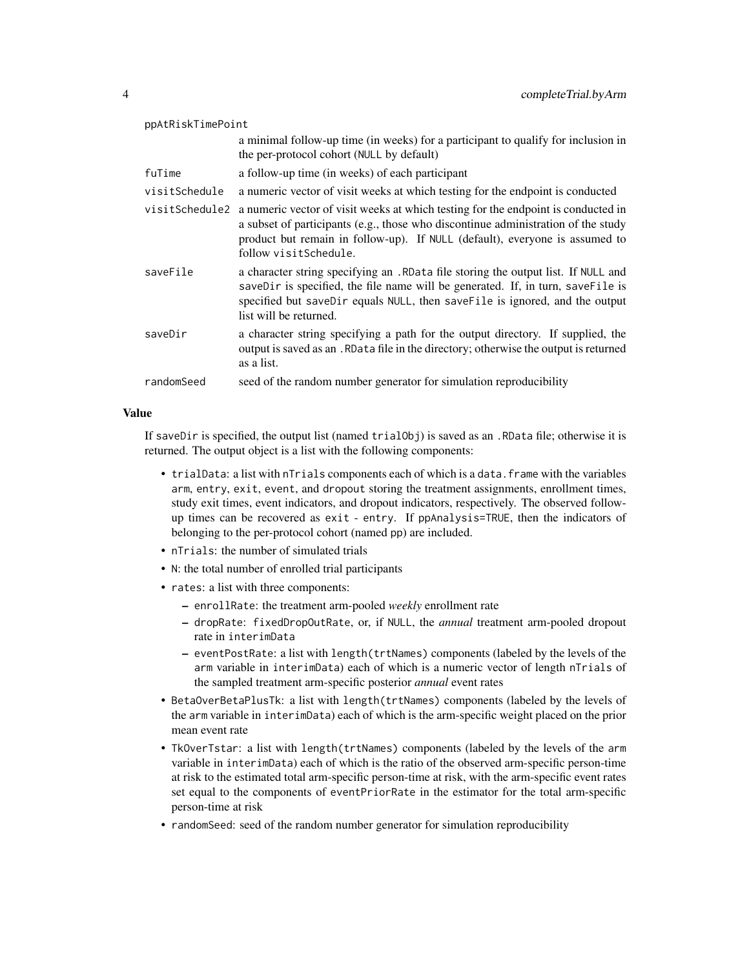| ppAtRiskTimePoint |                                                                                                                                                                                                                                                                                                 |  |
|-------------------|-------------------------------------------------------------------------------------------------------------------------------------------------------------------------------------------------------------------------------------------------------------------------------------------------|--|
|                   | a minimal follow-up time (in weeks) for a participant to qualify for inclusion in<br>the per-protocol cohort (NULL by default)                                                                                                                                                                  |  |
| fuTime            | a follow-up time (in weeks) of each participant                                                                                                                                                                                                                                                 |  |
| visitSchedule     | a numeric vector of visit weeks at which testing for the endpoint is conducted                                                                                                                                                                                                                  |  |
|                   | visit Schedule 2 a numeric vector of visit weeks at which testing for the endpoint is conducted in<br>a subset of participants (e.g., those who discontinue administration of the study<br>product but remain in follow-up). If NULL (default), everyone is assumed to<br>follow visitSchedule. |  |
| saveFile          | a character string specifying an . RData file storing the output list. If NULL and<br>saveDir is specified, the file name will be generated. If, in turn, saveFile is<br>specified but saveDir equals NULL, then saveFile is ignored, and the output<br>list will be returned.                  |  |
| saveDir           | a character string specifying a path for the output directory. If supplied, the<br>output is saved as an . RData file in the directory; otherwise the output is returned<br>as a list.                                                                                                          |  |
| randomSeed        | seed of the random number generator for simulation reproducibility                                                                                                                                                                                                                              |  |

#### Value

If saveDir is specified, the output list (named trialObj) is saved as an .RData file; otherwise it is returned. The output object is a list with the following components:

- trialData: a list with nTrials components each of which is a data. frame with the variables arm, entry, exit, event, and dropout storing the treatment assignments, enrollment times, study exit times, event indicators, and dropout indicators, respectively. The observed followup times can be recovered as exit - entry. If ppAnalysis=TRUE, then the indicators of belonging to the per-protocol cohort (named pp) are included.
- nTrials: the number of simulated trials
- N: the total number of enrolled trial participants
- rates: a list with three components:
	- enrollRate: the treatment arm-pooled *weekly* enrollment rate
	- dropRate: fixedDropOutRate, or, if NULL, the *annual* treatment arm-pooled dropout rate in interimData
	- eventPostRate: a list with length(trtNames) components (labeled by the levels of the arm variable in interimData) each of which is a numeric vector of length nTrials of the sampled treatment arm-specific posterior *annual* event rates
- BetaOverBetaPlusTk: a list with length(trtNames) components (labeled by the levels of the arm variable in interimData) each of which is the arm-specific weight placed on the prior mean event rate
- TkOverTstar: a list with length(trtNames) components (labeled by the levels of the arm variable in interimData) each of which is the ratio of the observed arm-specific person-time at risk to the estimated total arm-specific person-time at risk, with the arm-specific event rates set equal to the components of eventPriorRate in the estimator for the total arm-specific person-time at risk
- randomSeed: seed of the random number generator for simulation reproducibility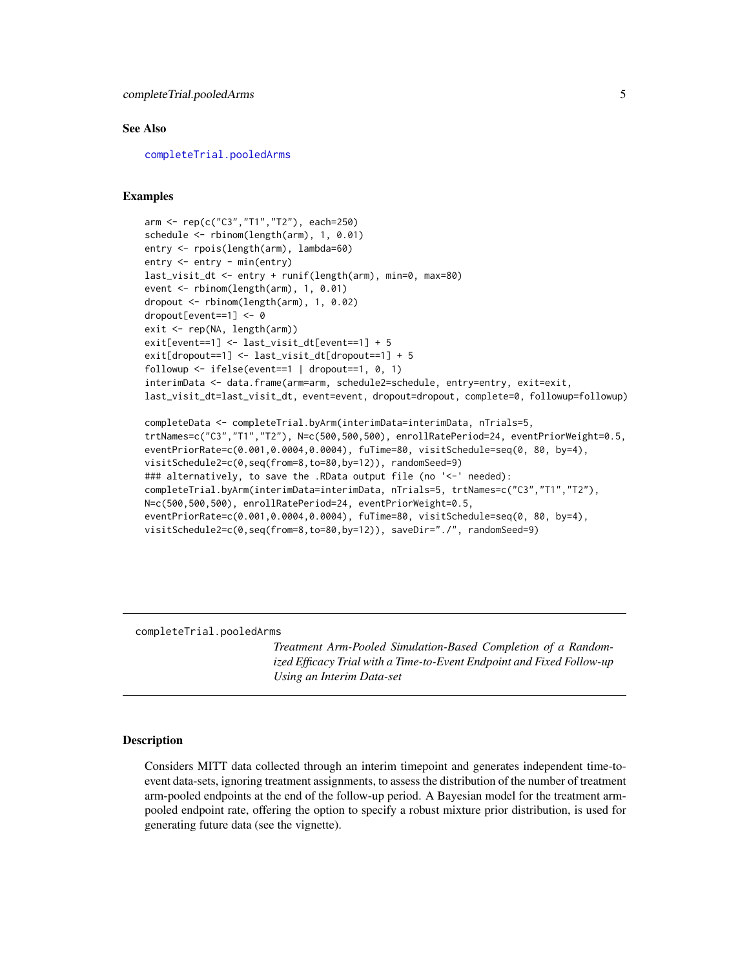#### <span id="page-4-0"></span>See Also

[completeTrial.pooledArms](#page-4-1)

#### Examples

```
arm <- rep(c("C3","T1","T2"), each=250)
schedule <- rbinom(length(arm), 1, 0.01)
entry <- rpois(length(arm), lambda=60)
entry <- entry - min(entry)
last_visit_dt <- entry + runif(length(arm), min=0, max=80)
event <- rbinom(length(arm), 1, 0.01)
dropout <- rbinom(length(arm), 1, 0.02)
dropout[event==1] <- 0
exit <- rep(NA, length(arm))
exit[event==1] <- last_visit_dt[event==1] + 5
exit[dropout==1] <- last_visit_dt[dropout==1] + 5
followup \le ifelse(event==1 | dropout==1, 0, 1)
interimData <- data.frame(arm=arm, schedule2=schedule, entry=entry, exit=exit,
last_visit_dt=last_visit_dt, event=event, dropout=dropout, complete=0, followup=followup)
completeData <- completeTrial.byArm(interimData=interimData, nTrials=5,
trtNames=c("C3","T1","T2"), N=c(500,500,500), enrollRatePeriod=24, eventPriorWeight=0.5,
eventPriorRate=c(0.001,0.0004,0.0004), fuTime=80, visitSchedule=seq(0, 80, by=4),
visitSchedule2=c(0,seq(from=8,to=80,by=12)), randomSeed=9)
### alternatively, to save the .RData output file (no '<-' needed):
completeTrial.byArm(interimData=interimData, nTrials=5, trtNames=c("C3","T1","T2"),
N=c(500,500,500), enrollRatePeriod=24, eventPriorWeight=0.5,
eventPriorRate=c(0.001,0.0004,0.0004), fuTime=80, visitSchedule=seq(0, 80, by=4),
visitSchedule2=c(0,seq(from=8,to=80,by=12)), saveDir="./", randomSeed=9)
```
<span id="page-4-1"></span>completeTrial.pooledArms

*Treatment Arm-Pooled Simulation-Based Completion of a Randomized Efficacy Trial with a Time-to-Event Endpoint and Fixed Follow-up Using an Interim Data-set*

#### Description

Considers MITT data collected through an interim timepoint and generates independent time-toevent data-sets, ignoring treatment assignments, to assess the distribution of the number of treatment arm-pooled endpoints at the end of the follow-up period. A Bayesian model for the treatment armpooled endpoint rate, offering the option to specify a robust mixture prior distribution, is used for generating future data (see the vignette).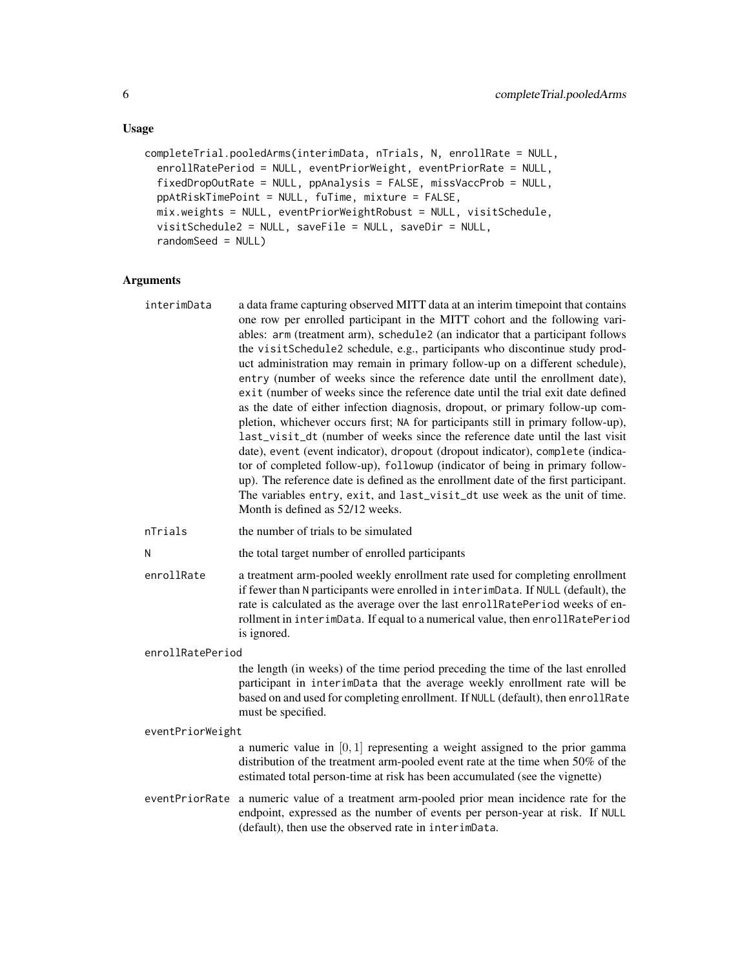#### Usage

```
completeTrial.pooledArms(interimData, nTrials, N, enrollRate = NULL,
  enrollRatePeriod = NULL, eventPriorWeight, eventPriorRate = NULL,
  fixedDropOutRate = NULL, ppAnalysis = FALSE, missVaccProb = NULL,
 ppAtRiskTimePoint = NULL, fuTime, mixture = FALSE,
 mix.weights = NULL, eventPriorWeightRobust = NULL, visitSchedule,
  visitSchedule2 = NULL, saveFile = NULL, saveDir = NULL,
  randomSeed = NULL)
```
#### **Arguments**

| interimData | a data frame capturing observed MITT data at an interim time point that contains<br>one row per enrolled participant in the MITT cohort and the following vari-<br>ables: arm (treatment arm), schedule2 (an indicator that a participant follows<br>the visitSchedule2 schedule, e.g., participants who discontinue study prod-<br>uct administration may remain in primary follow-up on a different schedule),<br>entry (number of weeks since the reference date until the enrollment date),<br>exit (number of weeks since the reference date until the trial exit date defined<br>as the date of either infection diagnosis, dropout, or primary follow-up com-<br>pletion, whichever occurs first; NA for participants still in primary follow-up),<br>last_visit_dt (number of weeks since the reference date until the last visit<br>date), event (event indicator), dropout (dropout indicator), complete (indica-<br>tor of completed follow-up), followup (indicator of being in primary follow-<br>up). The reference date is defined as the enrollment date of the first participant.<br>The variables entry, exit, and last_visit_dt use week as the unit of time. |
|-------------|----------------------------------------------------------------------------------------------------------------------------------------------------------------------------------------------------------------------------------------------------------------------------------------------------------------------------------------------------------------------------------------------------------------------------------------------------------------------------------------------------------------------------------------------------------------------------------------------------------------------------------------------------------------------------------------------------------------------------------------------------------------------------------------------------------------------------------------------------------------------------------------------------------------------------------------------------------------------------------------------------------------------------------------------------------------------------------------------------------------------------------------------------------------------------------|
|             | Month is defined as 52/12 weeks.                                                                                                                                                                                                                                                                                                                                                                                                                                                                                                                                                                                                                                                                                                                                                                                                                                                                                                                                                                                                                                                                                                                                                 |

nTrials the number of trials to be simulated

```
N the total target number of enrolled participants
```
enrollRate a treatment arm-pooled weekly enrollment rate used for completing enrollment if fewer than N participants were enrolled in interimData. If NULL (default), the rate is calculated as the average over the last enrollRatePeriod weeks of enrollment in interimData. If equal to a numerical value, then enrollRatePeriod is ignored.

#### enrollRatePeriod

the length (in weeks) of the time period preceding the time of the last enrolled participant in interimData that the average weekly enrollment rate will be based on and used for completing enrollment. If NULL (default), then enrollRate must be specified.

#### eventPriorWeight

a numeric value in  $[0, 1]$  representing a weight assigned to the prior gamma distribution of the treatment arm-pooled event rate at the time when 50% of the estimated total person-time at risk has been accumulated (see the vignette)

eventPriorRate a numeric value of a treatment arm-pooled prior mean incidence rate for the endpoint, expressed as the number of events per person-year at risk. If NULL (default), then use the observed rate in interimData.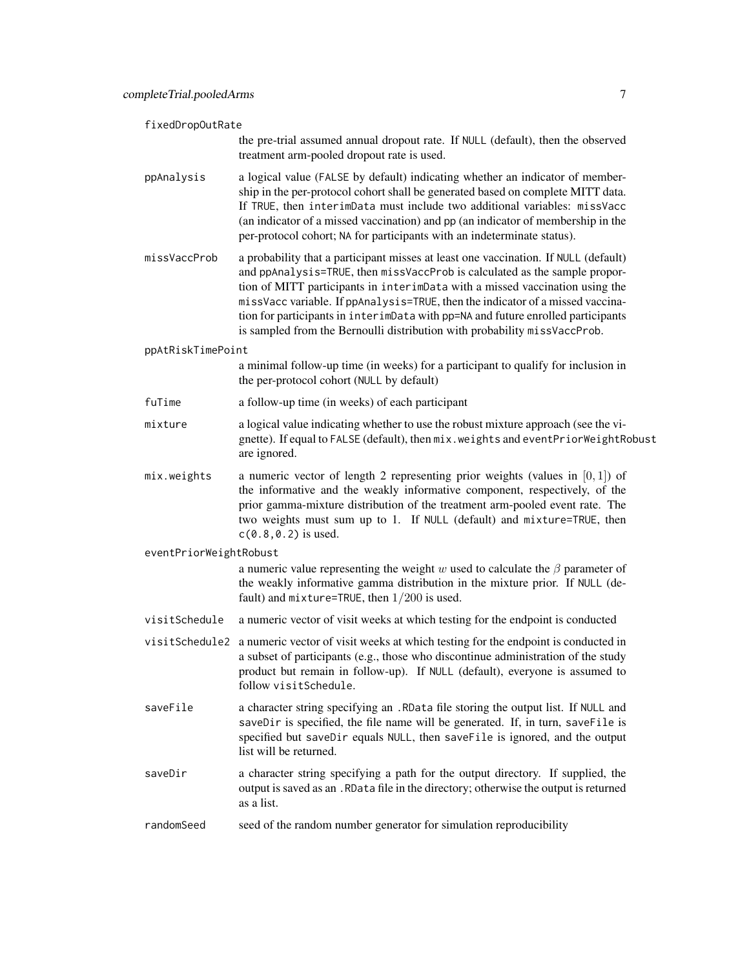| fixedDropOutRate       |                                                                                                                                                                                                                                                                                                                                                                                                                                                                                                      |  |
|------------------------|------------------------------------------------------------------------------------------------------------------------------------------------------------------------------------------------------------------------------------------------------------------------------------------------------------------------------------------------------------------------------------------------------------------------------------------------------------------------------------------------------|--|
|                        | the pre-trial assumed annual dropout rate. If NULL (default), then the observed<br>treatment arm-pooled dropout rate is used.                                                                                                                                                                                                                                                                                                                                                                        |  |
| ppAnalysis             | a logical value (FALSE by default) indicating whether an indicator of member-<br>ship in the per-protocol cohort shall be generated based on complete MITT data.<br>If TRUE, then interimData must include two additional variables: missVacc<br>(an indicator of a missed vaccination) and pp (an indicator of membership in the<br>per-protocol cohort; NA for participants with an indeterminate status).                                                                                         |  |
| missVaccProb           | a probability that a participant misses at least one vaccination. If NULL (default)<br>and ppAnalysis=TRUE, then missVaccProb is calculated as the sample propor-<br>tion of MITT participants in interimData with a missed vaccination using the<br>missVacc variable. If ppAnalysis=TRUE, then the indicator of a missed vaccina-<br>tion for participants in interimData with pp=NA and future enrolled participants<br>is sampled from the Bernoulli distribution with probability missVaccProb. |  |
| ppAtRiskTimePoint      |                                                                                                                                                                                                                                                                                                                                                                                                                                                                                                      |  |
|                        | a minimal follow-up time (in weeks) for a participant to qualify for inclusion in<br>the per-protocol cohort (NULL by default)                                                                                                                                                                                                                                                                                                                                                                       |  |
| fuTime                 | a follow-up time (in weeks) of each participant                                                                                                                                                                                                                                                                                                                                                                                                                                                      |  |
| mixture                | a logical value indicating whether to use the robust mixture approach (see the vi-<br>gnette). If equal to FALSE (default), then mix.weights and eventPriorWeightRobust<br>are ignored.                                                                                                                                                                                                                                                                                                              |  |
| mix.weights            | a numeric vector of length 2 representing prior weights (values in $[0,1]$ ) of<br>the informative and the weakly informative component, respectively, of the<br>prior gamma-mixture distribution of the treatment arm-pooled event rate. The<br>two weights must sum up to 1. If NULL (default) and mixture=TRUE, then<br>$c(0.8, 0.2)$ is used.                                                                                                                                                    |  |
| eventPriorWeightRobust |                                                                                                                                                                                                                                                                                                                                                                                                                                                                                                      |  |
|                        | a numeric value representing the weight w used to calculate the $\beta$ parameter of<br>the weakly informative gamma distribution in the mixture prior. If NULL (de-<br>fault) and $mixture = TRUE$ , then $1/200$ is used.                                                                                                                                                                                                                                                                          |  |
| visitSchedule          | a numeric vector of visit weeks at which testing for the endpoint is conducted                                                                                                                                                                                                                                                                                                                                                                                                                       |  |
|                        | visitSchedule2 a numeric vector of visit weeks at which testing for the endpoint is conducted in<br>a subset of participants (e.g., those who discontinue administration of the study<br>product but remain in follow-up). If NULL (default), everyone is assumed to<br>follow visitSchedule.                                                                                                                                                                                                        |  |
| saveFile               | a character string specifying an . RData file storing the output list. If NULL and<br>saveDir is specified, the file name will be generated. If, in turn, saveFile is<br>specified but saveDir equals NULL, then saveFile is ignored, and the output<br>list will be returned.                                                                                                                                                                                                                       |  |
| saveDir                | a character string specifying a path for the output directory. If supplied, the<br>output is saved as an . RData file in the directory; otherwise the output is returned<br>as a list.                                                                                                                                                                                                                                                                                                               |  |
| randomSeed             | seed of the random number generator for simulation reproducibility                                                                                                                                                                                                                                                                                                                                                                                                                                   |  |
|                        |                                                                                                                                                                                                                                                                                                                                                                                                                                                                                                      |  |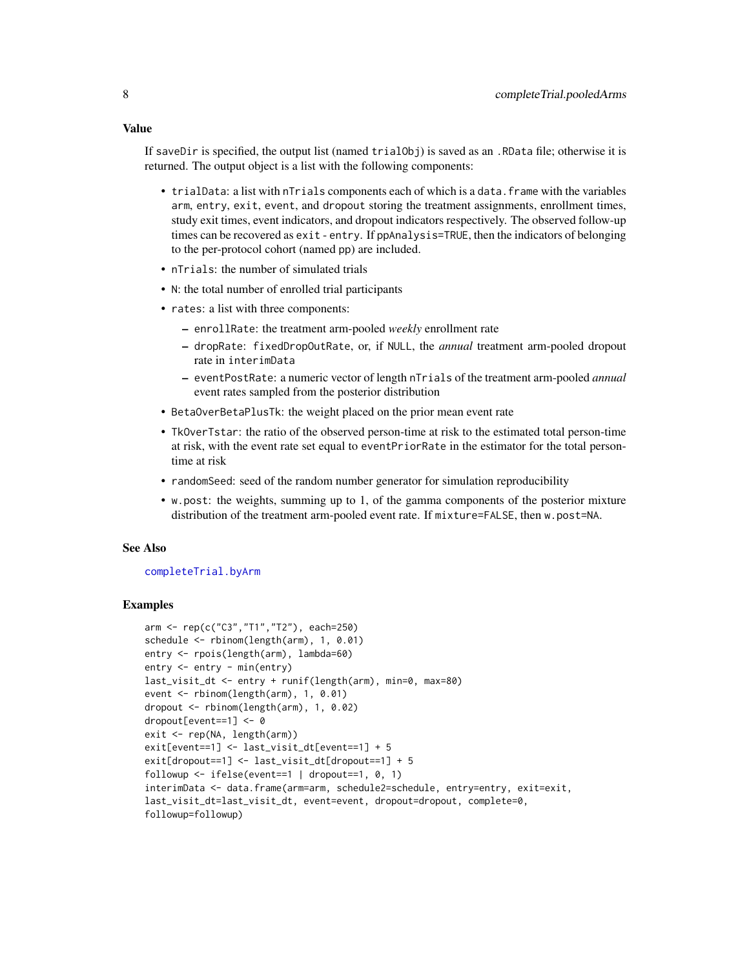<span id="page-7-0"></span>If saveDir is specified, the output list (named trialObj) is saved as an .RData file; otherwise it is returned. The output object is a list with the following components:

- trialData: a list with nTrials components each of which is a data. frame with the variables arm, entry, exit, event, and dropout storing the treatment assignments, enrollment times, study exit times, event indicators, and dropout indicators respectively. The observed follow-up times can be recovered as exit - entry. If ppAnalysis=TRUE, then the indicators of belonging to the per-protocol cohort (named pp) are included.
- nTrials: the number of simulated trials
- N: the total number of enrolled trial participants
- rates: a list with three components:
	- enrollRate: the treatment arm-pooled *weekly* enrollment rate
	- dropRate: fixedDropOutRate, or, if NULL, the *annual* treatment arm-pooled dropout rate in interimData
	- eventPostRate: a numeric vector of length nTrials of the treatment arm-pooled *annual* event rates sampled from the posterior distribution
- BetaOverBetaPlusTk: the weight placed on the prior mean event rate
- TkOverTstar: the ratio of the observed person-time at risk to the estimated total person-time at risk, with the event rate set equal to eventPriorRate in the estimator for the total persontime at risk
- randomSeed: seed of the random number generator for simulation reproducibility
- w.post: the weights, summing up to 1, of the gamma components of the posterior mixture distribution of the treatment arm-pooled event rate. If mixture=FALSE, then w.post=NA.

#### See Also

#### [completeTrial.byArm](#page-1-1)

#### Examples

```
arm <- rep(c("C3","T1","T2"), each=250)
schedule <- rbinom(length(arm), 1, 0.01)
entry <- rpois(length(arm), lambda=60)
entry <- entry - min(entry)
last_visit_dt <- entry + runif(length(arm), min=0, max=80)
event <- rbinom(length(arm), 1, 0.01)
dropout <- rbinom(length(arm), 1, 0.02)
dropout[event==1] <- 0
exit <- rep(NA, length(arm))
exit[event==1] <- last_visit_dt[event==1] + 5
exit[dropout==1] <- last_visit_dt[dropout==1] + 5
followup <- ifelse(event==1 | dropout==1, 0, 1)
interimData <- data.frame(arm=arm, schedule2=schedule, entry=entry, exit=exit,
last_visit_dt=last_visit_dt, event=event, dropout=dropout, complete=0,
followup=followup)
```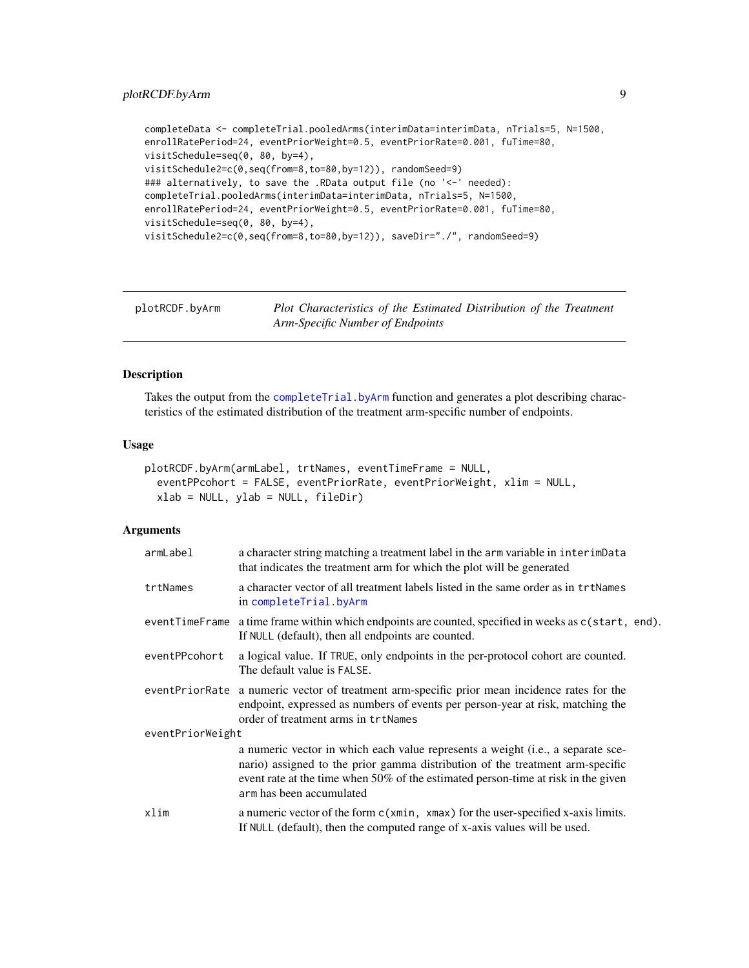```
completeData <- completeTrial.pooledArms(interimData=interimData, nTrials=5, N=1500,
enrollRatePeriod=24, eventPriorWeight=0.5, eventPriorRate=0.001, fuTime=80,
visitSchedule=seq(0, 80, by=4),
visitSchedule2=c(0,seq(from=8,to=80,by=12)), randomSeed=9)
### alternatively, to save the .RData output file (no '<-' needed):
completeTrial.pooledArms(interimData=interimData, nTrials=5, N=1500,
enrollRatePeriod=24, eventPriorWeight=0.5, eventPriorRate=0.001, fuTime=80,
visitSchedule=seq(0, 80, by=4),
visitSchedule2=c(0,seq(from=8,to=80,by=12)), saveDir="./", randomSeed=9)
```
<span id="page-8-1"></span>

| plotRCDF.byArm | Plot Characteristics of the Estimated Distribution of the Treatment |
|----------------|---------------------------------------------------------------------|
|                | Arm-Specific Number of Endpoints                                    |

#### Description

Takes the output from the [completeTrial.byArm](#page-1-1) function and generates a plot describing characteristics of the estimated distribution of the treatment arm-specific number of endpoints.

#### Usage

```
plotRCDF.byArm(armLabel, trtNames, eventTimeFrame = NULL,
  eventPPcohort = FALSE, eventPriorRate, eventPriorWeight, xlim = NULL,
  xlab = NULL, ylab = NULL, fileDir)
```
#### **Arguments**

| armLabel         | a character string matching a treatment label in the arm variable in interimData<br>that indicates the treatment arm for which the plot will be generated                                                                                                                         |
|------------------|-----------------------------------------------------------------------------------------------------------------------------------------------------------------------------------------------------------------------------------------------------------------------------------|
| trtNames         | a character vector of all treatment labels listed in the same order as in trtNames<br>in completeTrial.byArm                                                                                                                                                                      |
|                  | eventTimeFrame a time frame within which endpoints are counted, specified in weeks as c(start, end).<br>If NULL (default), then all endpoints are counted.                                                                                                                        |
| eventPPcohort    | a logical value. If TRUE, only endpoints in the per-protocol cohort are counted.<br>The default value is FALSE.                                                                                                                                                                   |
|                  | eventPriorRate a numeric vector of treatment arm-specific prior mean incidence rates for the<br>endpoint, expressed as numbers of events per person-year at risk, matching the<br>order of treatment arms in trtNames                                                             |
| eventPriorWeight |                                                                                                                                                                                                                                                                                   |
|                  | a numeric vector in which each value represents a weight (i.e., a separate sce-<br>nario) assigned to the prior gamma distribution of the treatment arm-specific<br>event rate at the time when 50% of the estimated person-time at risk in the given<br>arm has been accumulated |
| xlim             | a numeric vector of the form c(xmin, xmax) for the user-specified x-axis limits.<br>If NULL (default), then the computed range of x-axis values will be used.                                                                                                                     |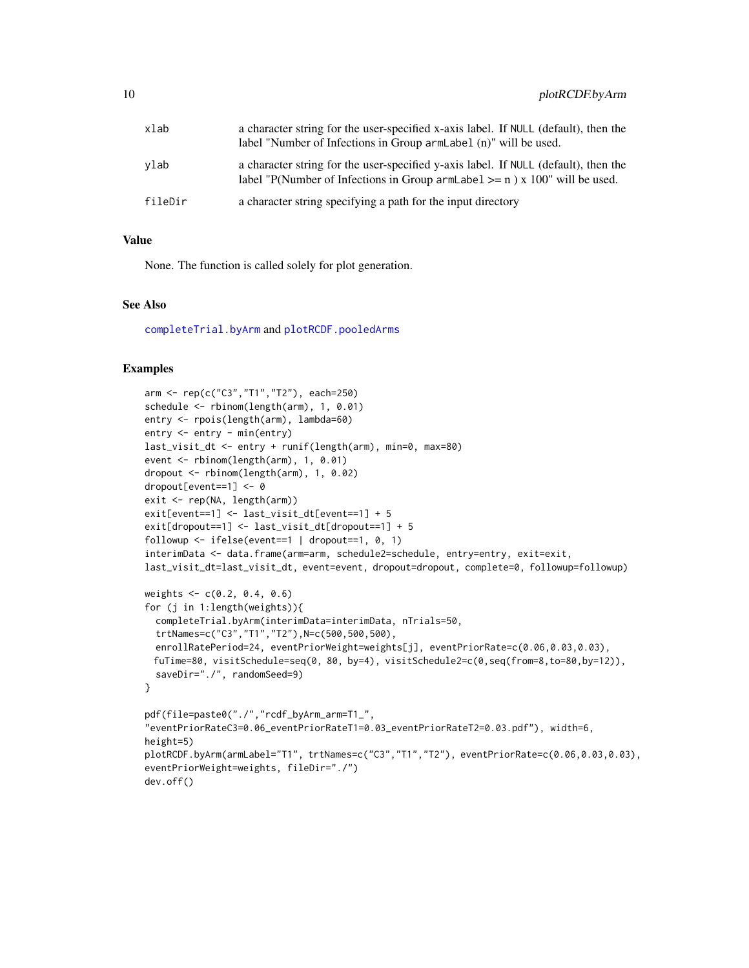<span id="page-9-0"></span>

| xlab    | a character string for the user-specified x-axis label. If NULL (default), then the<br>label "Number of Infections in Group armLabel (n)" will be used.                  |
|---------|--------------------------------------------------------------------------------------------------------------------------------------------------------------------------|
| vlab    | a character string for the user-specified y-axis label. If NULL (default), then the<br>label "P(Number of Infections in Group arm Label $\geq$ = n) x 100" will be used. |
| fileDir | a character string specifying a path for the input directory                                                                                                             |

#### Value

None. The function is called solely for plot generation.

#### See Also

[completeTrial.byArm](#page-1-1) and [plotRCDF.pooledArms](#page-10-1)

#### Examples

```
arm <- rep(c("C3","T1","T2"), each=250)
schedule <- rbinom(length(arm), 1, 0.01)
entry <- rpois(length(arm), lambda=60)
entry <- entry - min(entry)
last_visit_dt <- entry + runif(length(arm), min=0, max=80)
event <- rbinom(length(arm), 1, 0.01)
dropout <- rbinom(length(arm), 1, 0.02)
dropout[event==1] <- 0
exit <- rep(NA, length(arm))
exit[event==1] <- last_visit_dt[event==1] + 5
exit[dropout==1] <- last_visit_dt[dropout==1] + 5
followup \le ifelse(event==1 | dropout==1, 0, 1)
interimData <- data.frame(arm=arm, schedule2=schedule, entry=entry, exit=exit,
last_visit_dt=last_visit_dt, event=event, dropout=dropout, complete=0, followup=followup)
weights <- c(0.2, 0.4, 0.6)
for (j in 1:length(weights)){
  completeTrial.byArm(interimData=interimData, nTrials=50,
  trtNames=c("C3","T1","T2"),N=c(500,500,500),
  enrollRatePeriod=24, eventPriorWeight=weights[j], eventPriorRate=c(0.06,0.03,0.03),
 fuTime=80, visitSchedule=seq(0, 80, by=4), visitSchedule2=c(0,seq(from=8,to=80,by=12)),
  saveDir="./", randomSeed=9)
}
pdf(file=paste0("./","rcdf_byArm_arm=T1_",
"eventPriorRateC3=0.06_eventPriorRateT1=0.03_eventPriorRateT2=0.03.pdf"), width=6,
height=5)
plotRCDF.byArm(armLabel="T1", trtNames=c("C3","T1","T2"), eventPriorRate=c(0.06,0.03,0.03),
eventPriorWeight=weights, fileDir="./")
dev.off()
```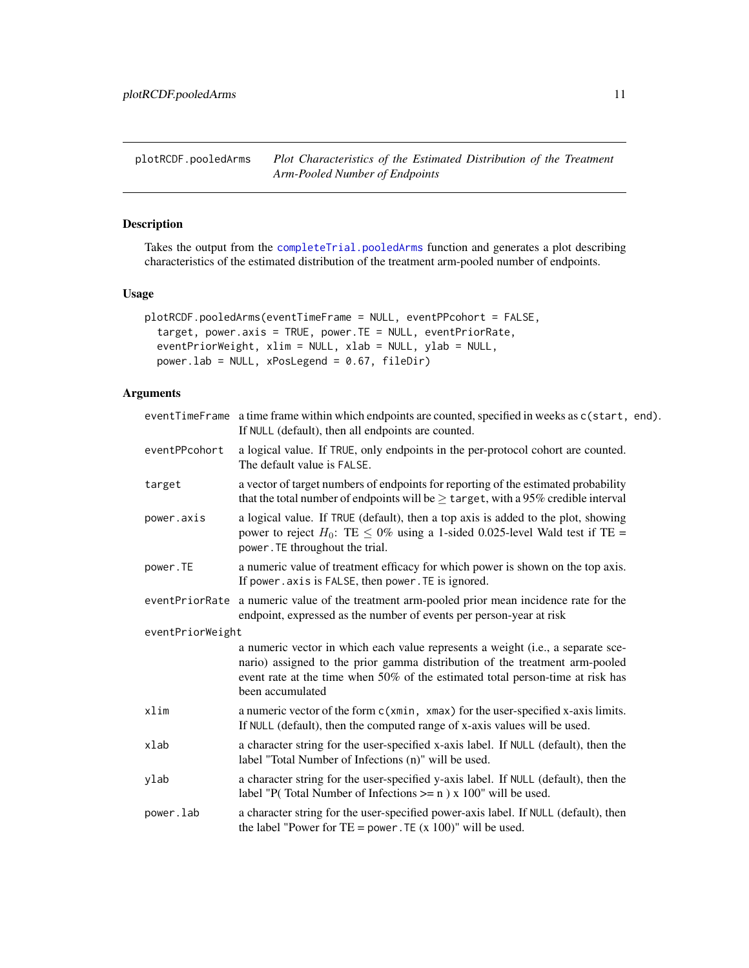<span id="page-10-1"></span><span id="page-10-0"></span>plotRCDF.pooledArms *Plot Characteristics of the Estimated Distribution of the Treatment Arm-Pooled Number of Endpoints*

#### Description

Takes the output from the [completeTrial.pooledArms](#page-4-1) function and generates a plot describing characteristics of the estimated distribution of the treatment arm-pooled number of endpoints.

#### Usage

```
plotRCDF.pooledArms(eventTimeFrame = NULL, eventPPcohort = FALSE,
  target, power.axis = TRUE, power.TE = NULL, eventPriorRate,
  eventPriorWeight, xlim = NULL, xlab = NULL, ylab = NULL,
 power.lab = NULL, xPosLegend = 0.67, fileDir)
```
#### Arguments

|                  | eventTimeFrame a time frame within which endpoints are counted, specified in weeks as c(start, end).<br>If NULL (default), then all endpoints are counted.                                                                                                           |
|------------------|----------------------------------------------------------------------------------------------------------------------------------------------------------------------------------------------------------------------------------------------------------------------|
| eventPPcohort    | a logical value. If TRUE, only endpoints in the per-protocol cohort are counted.<br>The default value is FALSE.                                                                                                                                                      |
| target           | a vector of target numbers of endpoints for reporting of the estimated probability<br>that the total number of endpoints will be $\geq$ target, with a 95% credible interval                                                                                         |
| power.axis       | a logical value. If TRUE (default), then a top axis is added to the plot, showing<br>power to reject $H_0$ : TE $\leq 0\%$ using a 1-sided 0.025-level Wald test if TE =<br>power. TE throughout the trial.                                                          |
| power.TE         | a numeric value of treatment efficacy for which power is shown on the top axis.<br>If power. axis is FALSE, then power. TE is ignored.                                                                                                                               |
| eventPriorRate   | a numeric value of the treatment arm-pooled prior mean incidence rate for the<br>endpoint, expressed as the number of events per person-year at risk                                                                                                                 |
| eventPriorWeight |                                                                                                                                                                                                                                                                      |
|                  | a numeric vector in which each value represents a weight (i.e., a separate sce-<br>nario) assigned to the prior gamma distribution of the treatment arm-pooled<br>event rate at the time when 50% of the estimated total person-time at risk has<br>been accumulated |
| xlim             | a numeric vector of the form c(xmin, xmax) for the user-specified x-axis limits.<br>If NULL (default), then the computed range of x-axis values will be used.                                                                                                        |
| xlab             | a character string for the user-specified x-axis label. If NULL (default), then the<br>label "Total Number of Infections (n)" will be used.                                                                                                                          |
| ylab             | a character string for the user-specified y-axis label. If NULL (default), then the<br>label "P(Total Number of Infections $>= n$ ) x 100" will be used.                                                                                                             |
| power.lab        | a character string for the user-specified power-axis label. If NULL (default), then<br>the label "Power for TE = power. TE $(x 100)$ " will be used.                                                                                                                 |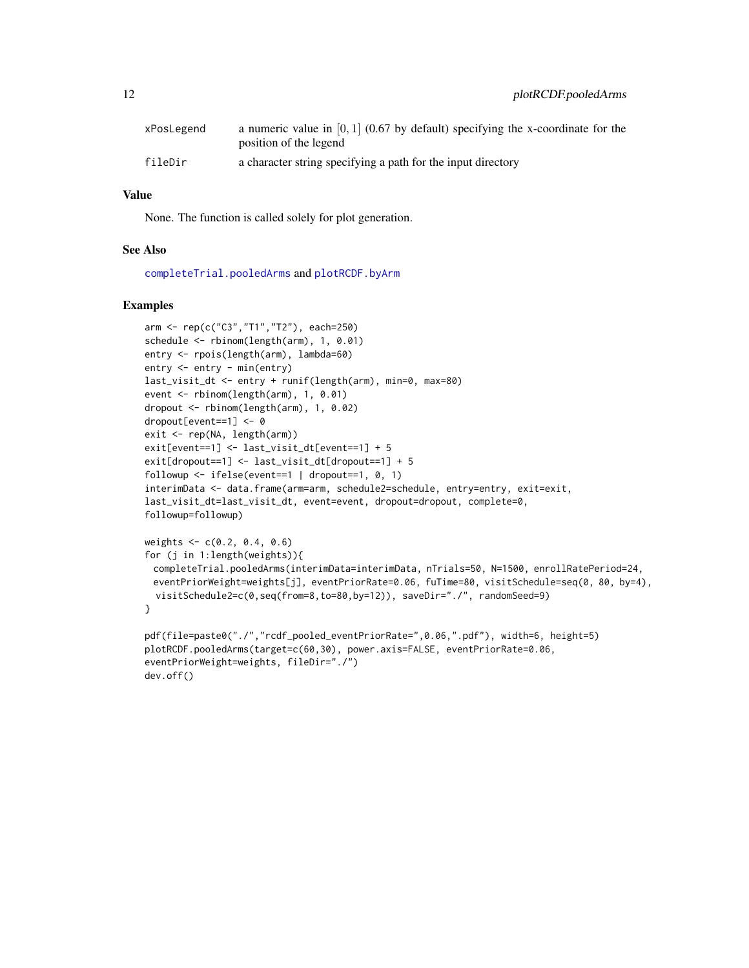<span id="page-11-0"></span>

| xPosLegend | a numeric value in $[0, 1]$ (0.67 by default) specifying the x-coordinate for the<br>position of the legend |
|------------|-------------------------------------------------------------------------------------------------------------|
| fileDir    | a character string specifying a path for the input directory                                                |

#### Value

None. The function is called solely for plot generation.

#### See Also

[completeTrial.pooledArms](#page-4-1) and [plotRCDF.byArm](#page-8-1)

#### Examples

```
arm <- rep(c("C3","T1","T2"), each=250)
schedule <- rbinom(length(arm), 1, 0.01)
entry <- rpois(length(arm), lambda=60)
entry <- entry - min(entry)
last_visit_dt <- entry + runif(length(arm), min=0, max=80)
event <- rbinom(length(arm), 1, 0.01)
dropout <- rbinom(length(arm), 1, 0.02)
dropout[event==1] <- 0
exit <- rep(NA, length(arm))
exit[event==1] <- last_visit_dt[event==1] + 5
exit[dropout==1] <- last_visit_dt[dropout==1] + 5
followup \le ifelse(event==1 | dropout==1, 0, 1)
interimData <- data.frame(arm=arm, schedule2=schedule, entry=entry, exit=exit,
last_visit_dt=last_visit_dt, event=event, dropout=dropout, complete=0,
followup=followup)
weights <- c(0.2, 0.4, 0.6)
for (j in 1:length(weights)){
 completeTrial.pooledArms(interimData=interimData, nTrials=50, N=1500, enrollRatePeriod=24,
 eventPriorWeight=weights[j], eventPriorRate=0.06, fuTime=80, visitSchedule=seq(0, 80, by=4),
  visitSchedule2=c(0,seq(from=8,to=80,by=12)), saveDir="./", randomSeed=9)
}
pdf(file=paste0("./","rcdf_pooled_eventPriorRate=",0.06,".pdf"), width=6, height=5)
plotRCDF.pooledArms(target=c(60,30), power.axis=FALSE, eventPriorRate=0.06,
eventPriorWeight=weights, fileDir="./")
```
dev.off()